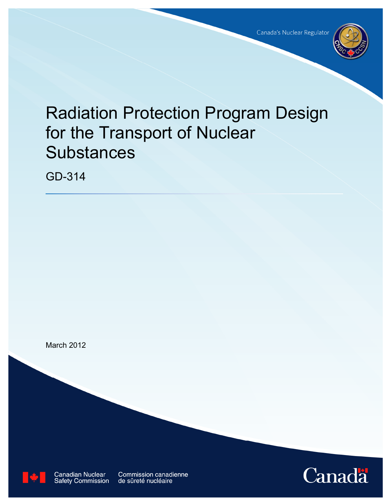

# Radiation Protection Program Design for the Transport of Nuclear **Substances**

GD-314





**Canadian Nuclear**<br>Safety Commission

**Commission canadienne** de sûreté nucléaire

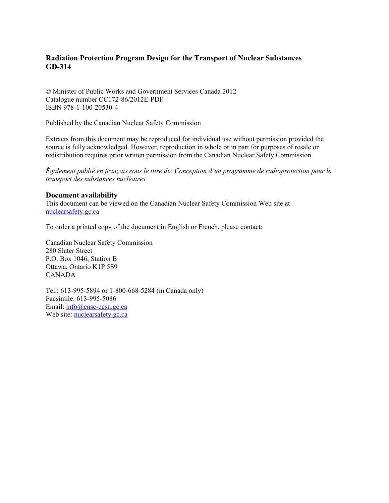## **Radiation Protection Program Design for the Transport of Nuclear Substances GD-314**

© Minister of Public Works and Government Services Canada 2012 Catalogue number CC172-86/2012E-PDF ISBN 978-1-100-20530-4

Published by the Canadian Nuclear Safety Commission

Extracts from this document may be reproduced for individual use without permission provided the source is fully acknowledged. However, reproduction in whole or in part for purposes of resale or redistribution requires prior written permission from the Canadian Nuclear Safety Commission.

*Également publié en français sous le titre de: Conception d'un programme de radioprotection pour le transport des substances nucléaires* 

#### **Document availability**

This document can be viewed on the Canadian Nuclear Safety Commission Web site at [nuclearsafety.gc.ca](http://www.nuclearsafety.gc.ca/)

To order a printed copy of the document in English or French, please contact:

Canadian Nuclear Safety Commission 280 Slater Street P.O. Box 1046, Station B Ottawa, Ontario K1P 5S9 CANADA

Tel.: 613-995-5894 or 1-800-668-5284 (in Canada only) Facsimile: 613-995-5086 Email: [info@cnsc-ccsn.gc.ca](mailto:info@cnsc-ccsn.gc.ca) Web site: [nuclearsafety.gc.ca](http://www.nuclearsafety.gc.ca/)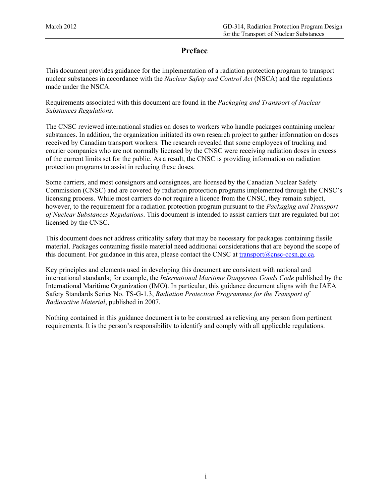## **Preface**

This document provides guidance for the implementation of a radiation protection program to transport nuclear substances in accordance with the *Nuclear Safety and Control Act* (NSCA) and the regulations made under the NSCA.

Requirements associated with this document are found in the *Packaging and Transport of Nuclear Substances Regulations*.

The CNSC reviewed international studies on doses to workers who handle packages containing nuclear substances. In addition, the organization initiated its own research project to gather information on doses received by Canadian transport workers. The research revealed that some employees of trucking and courier companies who are not normally licensed by the CNSC were receiving radiation doses in excess of the current limits set for the public. As a result, the CNSC is providing information on radiation protection programs to assist in reducing these doses.

Some carriers, and most consignors and consignees, are licensed by the Canadian Nuclear Safety Commission (CNSC) and are covered by radiation protection programs implemented through the CNSC's licensing process. While most carriers do not require a licence from the CNSC, they remain subject, however, to the requirement for a radiation protection program pursuant to the *Packaging and Transport of Nuclear Substances Regulations*. This document is intended to assist carriers that are regulated but not licensed by the CNSC.

This document does not address criticality safety that may be necessary for packages containing fissile material. Packages containing fissile material need additional considerations that are beyond the scope of this document. For guidance in this area, please contact the CNSC at transport $(Qnsc-ccsn,gc.ca.)$ 

Key principles and elements used in developing this document are consistent with national and international standards; for example, the *International Maritime Dangerous Goods Code* published by the International Maritime Organization (IMO). In particular, this guidance document aligns with the IAEA Safety Standards Series No. TS-G-1.3, *Radiation Protection Programmes for the Transport of Radioactive Material*, published in 2007.

Nothing contained in this guidance document is to be construed as relieving any person from pertinent requirements. It is the person's responsibility to identify and comply with all applicable regulations.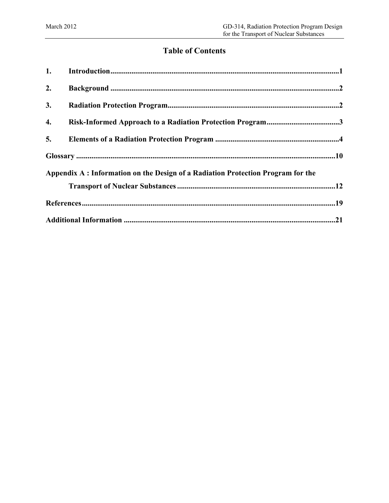## **Table of Contents**

| 1. |                                                                                  |
|----|----------------------------------------------------------------------------------|
| 2. |                                                                                  |
| 3. |                                                                                  |
| 4. |                                                                                  |
| 5. |                                                                                  |
|    |                                                                                  |
|    | Appendix A : Information on the Design of a Radiation Protection Program for the |
|    |                                                                                  |
|    |                                                                                  |
|    |                                                                                  |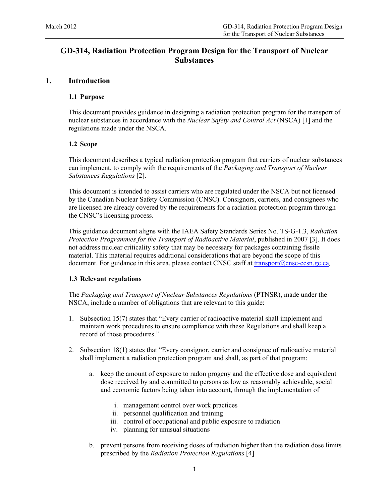## <span id="page-4-0"></span>**GD-314, Radiation Protection Program Design for the Transport of Nuclear Substances**

#### **1. Introduction**

#### **1.1 Purpose**

This document provides guidance in designing a radiation protection program for the transport of nuclear substances in accordance with the *Nuclear Safety and Control Act* (NSCA) [1] and the regulations made under the NSCA.

#### **1.2 Scope**

This document describes a typical radiation protection program that carriers of nuclear substances can implement, to comply with the requirements of the *Packaging and Transport of Nuclear Substances Regulations* [2].

This document is intended to assist carriers who are regulated under the NSCA but not licensed by the Canadian Nuclear Safety Commission (CNSC). Consignors, carriers, and consignees who are licensed are already covered by the requirements for a radiation protection program through the CNSC's licensing process.

This guidance document aligns with the IAEA Safety Standards Series No. TS-G-1.3, *Radiation Protection Programmes for the Transport of Radioactive Material*, published in 2007 [3]. It does not address nuclear criticality safety that may be necessary for packages containing fissile material. This material requires additional considerations that are beyond the scope of this document. For guidance in this area, please contact CNSC staff at transport $(a)$ cnsc-ccsn.gc.ca.

#### **1.3 Relevant regulations**

The *Packaging and Transport of Nuclear Substances Regulations* (PTNSR), made under the NSCA, include a number of obligations that are relevant to this guide:

- 1. Subsection 15(7) states that "Every carrier of radioactive material shall implement and maintain work procedures to ensure compliance with these Regulations and shall keep a record of those procedures."
- 2. Subsection 18(1) states that "Every consignor, carrier and consignee of radioactive material shall implement a radiation protection program and shall, as part of that program:
	- a. keep the amount of exposure to radon progeny and the effective dose and equivalent dose received by and committed to persons as low as reasonably achievable, social and economic factors being taken into account, through the implementation of
		- i. management control over work practices
		- ii. personnel qualification and training
		- iii. control of occupational and public exposure to radiation
		- iv. planning for unusual situations
	- b. prevent persons from receiving doses of radiation higher than the radiation dose limits prescribed by the *Radiation Protection Regulations* [4]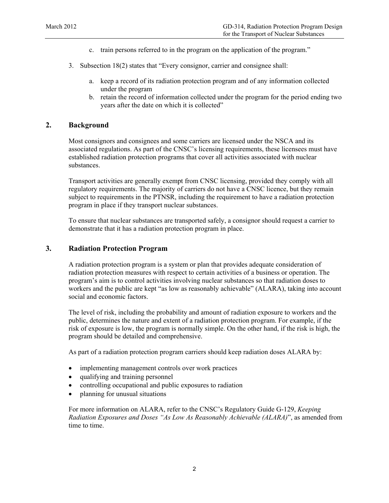- c. train persons referred to in the program on the application of the program."
- <span id="page-5-0"></span>3. Subsection 18(2) states that "Every consignor, carrier and consignee shall:
	- a. keep a record of its radiation protection program and of any information collected under the program
	- b. retain the record of information collected under the program for the period ending two years after the date on which it is collected"

#### **2. Background**

Most consignors and consignees and some carriers are licensed under the NSCA and its associated regulations. As part of the CNSC's licensing requirements, these licensees must have established radiation protection programs that cover all activities associated with nuclear substances.

Transport activities are generally exempt from CNSC licensing, provided they comply with all regulatory requirements. The majority of carriers do not have a CNSC licence, but they remain subject to requirements in the PTNSR, including the requirement to have a radiation protection program in place if they transport nuclear substances.

To ensure that nuclear substances are transported safely, a consignor should request a carrier to demonstrate that it has a radiation protection program in place.

#### **3. Radiation Protection Program**

A radiation protection program is a system or plan that provides adequate consideration of radiation protection measures with respect to certain activities of a business or operation. The program's aim is to control activities involving nuclear substances so that radiation doses to workers and the public are kept "as low as reasonably achievable" (ALARA), taking into account social and economic factors.

The level of risk, including the probability and amount of radiation exposure to workers and the public, determines the nature and extent of a radiation protection program. For example, if the risk of exposure is low, the program is normally simple. On the other hand, if the risk is high, the program should be detailed and comprehensive.

As part of a radiation protection program carriers should keep radiation doses ALARA by:

- implementing management controls over work practices
- qualifying and training personnel
- controlling occupational and public exposures to radiation
- planning for unusual situations

For more information on ALARA, refer to the CNSC's Regulatory Guide G-129, *Keeping Radiation Exposures and Doses "As Low As Reasonably Achievable (ALARA)*", as amended from time to time.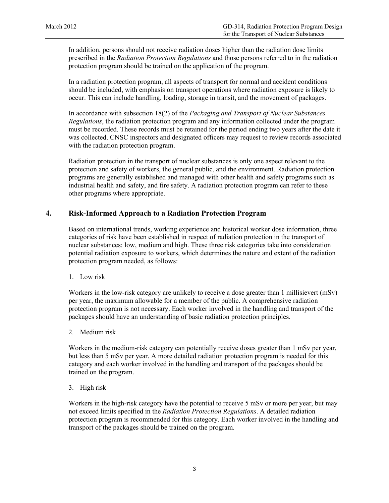<span id="page-6-0"></span>In addition, persons should not receive radiation doses higher than the radiation dose limits prescribed in the *Radiation Protection Regulations* and those persons referred to in the radiation protection program should be trained on the application of the program.

In a radiation protection program, all aspects of transport for normal and accident conditions should be included, with emphasis on transport operations where radiation exposure is likely to occur. This can include handling, loading, storage in transit, and the movement of packages.

In accordance with subsection 18(2) of the *Packaging and Transport of Nuclear Substances Regulations*, the radiation protection program and any information collected under the program must be recorded. These records must be retained for the period ending two years after the date it was collected. CNSC inspectors and designated officers may request to review records associated with the radiation protection program.

Radiation protection in the transport of nuclear substances is only one aspect relevant to the protection and safety of workers, the general public, and the environment. Radiation protection programs are generally established and managed with other health and safety programs such as industrial health and safety, and fire safety. A radiation protection program can refer to these other programs where appropriate.

#### **4. Risk-Informed Approach to a Radiation Protection Program**

Based on international trends, working experience and historical worker dose information, three categories of risk have been established in respect of radiation protection in the transport of nuclear substances: low, medium and high. These three risk categories take into consideration potential radiation exposure to workers, which determines the nature and extent of the radiation protection program needed, as follows:

1. Low risk

Workers in the low-risk category are unlikely to receive a dose greater than 1 millisievert (mSv) per year, the maximum allowable for a member of the public. A comprehensive radiation protection program is not necessary. Each worker involved in the handling and transport of the packages should have an understanding of basic radiation protection principles.

2. Medium risk

Workers in the medium-risk category can potentially receive doses greater than 1 mSv per year, but less than 5 mSv per year. A more detailed radiation protection program is needed for this category and each worker involved in the handling and transport of the packages should be trained on the program.

3. High risk

Workers in the high-risk category have the potential to receive 5 mSv or more per year, but may not exceed limits specified in the *Radiation Protection Regulations*. A detailed radiation protection program is recommended for this category. Each worker involved in the handling and transport of the packages should be trained on the program.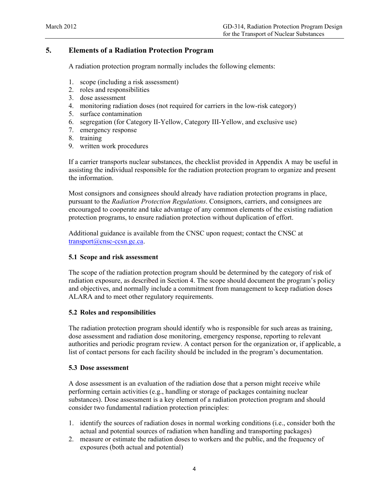## <span id="page-7-0"></span>**5. Elements of a Radiation Protection Program**

A radiation protection program normally includes the following elements:

- 1. scope (including a risk assessment)
- 2. roles and responsibilities
- 3. dose assessment
- 4. monitoring radiation doses (not required for carriers in the low-risk category)
- 5. surface contamination
- 6. segregation (for Category II-Yellow, Category III-Yellow, and exclusive use)
- 7. emergency response
- 8. training
- 9. written work procedures

If a carrier transports nuclear substances, the checklist provided in Appendix A may be useful in assisting the individual responsible for the radiation protection program to organize and present the information.

Most consignors and consignees should already have radiation protection programs in place, pursuant to the *Radiation Protection Regulations*. Consignors, carriers, and consignees are encouraged to cooperate and take advantage of any common elements of the existing radiation protection programs, to ensure radiation protection without duplication of effort.

Additional guidance is available from the CNSC upon request; contact the CNSC at [transport@cnsc-ccsn.gc.ca.](mailto:transport@cnsc-ccsn.gc.ca)

#### **5.1 Scope and risk assessment**

The scope of the radiation protection program should be determined by the category of risk of radiation exposure, as described in Section 4. The scope should document the program's policy and objectives, and normally include a commitment from management to keep radiation doses ALARA and to meet other regulatory requirements.

#### **5.2 Roles and responsibilities**

The radiation protection program should identify who is responsible for such areas as training, dose assessment and radiation dose monitoring, emergency response, reporting to relevant authorities and periodic program review. A contact person for the organization or, if applicable, a list of contact persons for each facility should be included in the program's documentation.

#### **5.3 Dose assessment**

A dose assessment is an evaluation of the radiation dose that a person might receive while performing certain activities (e.g., handling or storage of packages containing nuclear substances). Dose assessment is a key element of a radiation protection program and should consider two fundamental radiation protection principles:

- 1. identify the sources of radiation doses in normal working conditions (i.e., consider both the actual and potential sources of radiation when handling and transporting packages)
- 2. measure or estimate the radiation doses to workers and the public, and the frequency of exposures (both actual and potential)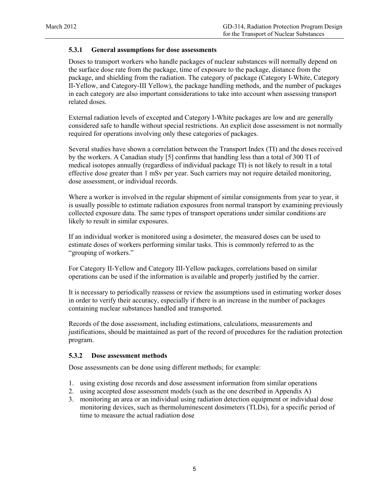#### **5.3.1 General assumptions for dose assessments**

Doses to transport workers who handle packages of nuclear substances will normally depend on the surface dose rate from the package, time of exposure to the package, distance from the package, and shielding from the radiation. The category of package (Category I-White, Category II-Yellow, and Category-III Yellow), the package handling methods, and the number of packages in each category are also important considerations to take into account when assessing transport related doses.

External radiation levels of excepted and Category I-White packages are low and are generally considered safe to handle without special restrictions. An explicit dose assessment is not normally required for operations involving only these categories of packages.

Several studies have shown a correlation between the Transport Index (TI) and the doses received by the workers. A Canadian study [5] confirms that handling less than a total of 300 TI of medical isotopes annually (regardless of individual package TI) is not likely to result in a total effective dose greater than 1 mSv per year. Such carriers may not require detailed monitoring, dose assessment, or individual records.

Where a worker is involved in the regular shipment of similar consignments from year to year, it is usually possible to estimate radiation exposures from normal transport by examining previously collected exposure data. The same types of transport operations under similar conditions are likely to result in similar exposures.

If an individual worker is monitored using a dosimeter, the measured doses can be used to estimate doses of workers performing similar tasks. This is commonly referred to as the "grouping of workers."

For Category II-Yellow and Category III-Yellow packages, correlations based on similar operations can be used if the information is available and properly justified by the carrier.

It is necessary to periodically reassess or review the assumptions used in estimating worker doses in order to verify their accuracy, especially if there is an increase in the number of packages containing nuclear substances handled and transported.

Records of the dose assessment, including estimations, calculations, measurements and justifications, should be maintained as part of the record of procedures for the radiation protection program.

#### **5.3.2 Dose assessment methods**

Dose assessments can be done using different methods; for example:

- 1. using existing dose records and dose assessment information from similar operations
- 2. using accepted dose assessment models (such as the one described in Appendix A)
- 3. monitoring an area or an individual using radiation detection equipment or individual dose monitoring devices, such as thermoluminescent dosimeters (TLDs), for a specific period of time to measure the actual radiation dose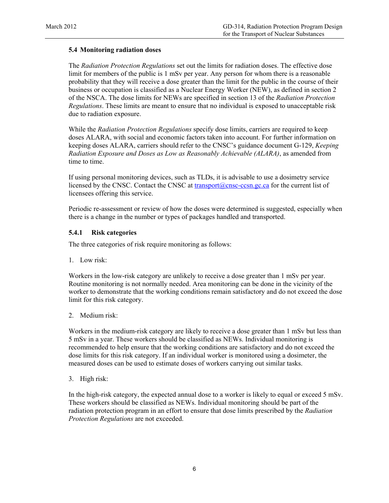#### **5.4 Monitoring radiation doses**

The *Radiation Protection Regulations* set out the limits for radiation doses. The effective dose limit for members of the public is 1 mSv per year. Any person for whom there is a reasonable probability that they will receive a dose greater than the limit for the public in the course of their business or occupation is classified as a Nuclear Energy Worker (NEW), as defined in section 2 of the NSCA. The dose limits for NEWs are specified in section 13 of the *Radiation Protection Regulations*. These limits are meant to ensure that no individual is exposed to unacceptable risk due to radiation exposure.

While the *Radiation Protection Regulations* specify dose limits, carriers are required to keep doses ALARA, with social and economic factors taken into account. For further information on keeping doses ALARA, carriers should refer to the CNSC's guidance document G-129, *Keeping Radiation Exposure and Doses as Low as Reasonably Achievable (ALARA)*, as amended from time to time.

If using personal monitoring devices, such as TLDs, it is advisable to use a dosimetry service licensed by the CNSC. Contact the CNSC at [transport@cnsc-ccsn.gc.ca](mailto:transport@cnsc-ccsn.gc.ca) for the current list of licensees offering this service.

Periodic re-assessment or review of how the doses were determined is suggested, especially when there is a change in the number or types of packages handled and transported.

#### **5.4.1 Risk categories**

The three categories of risk require monitoring as follows:

1. Low risk:

Workers in the low-risk category are unlikely to receive a dose greater than 1 mSv per year. Routine monitoring is not normally needed. Area monitoring can be done in the vicinity of the worker to demonstrate that the working conditions remain satisfactory and do not exceed the dose limit for this risk category.

2. Medium risk:

Workers in the medium-risk category are likely to receive a dose greater than 1 mSv but less than 5 mSv in a year. These workers should be classified as NEWs. Individual monitoring is recommended to help ensure that the working conditions are satisfactory and do not exceed the dose limits for this risk category. If an individual worker is monitored using a dosimeter, the measured doses can be used to estimate doses of workers carrying out similar tasks.

3. High risk:

In the high-risk category, the expected annual dose to a worker is likely to equal or exceed 5 mSv. These workers should be classified as NEWs. Individual monitoring should be part of the radiation protection program in an effort to ensure that dose limits prescribed by the *Radiation Protection Regulations* are not exceeded.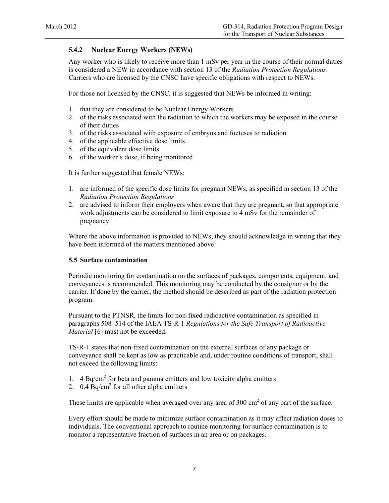#### **5.4.2 Nuclear Energy Workers (NEWs)**

Any worker who is likely to receive more than 1 mSv per year in the course of their normal duties is considered a NEW in accordance with section 13 of the *Radiation Protection Regulations*. Carriers who are licensed by the CNSC have specific obligations with respect to NEWs.

For those not licensed by the CNSC, it is suggested that NEWs be informed in writing:

- 1. that they are considered to be Nuclear Energy Workers
- 2. of the risks associated with the radiation to which the workers may be exposed in the course of their duties
- 3. of the risks associated with exposure of embryos and foetuses to radiation
- 4. of the applicable effective dose limits
- 5. of the equivalent dose limits
- 6. of the worker's dose, if being monitored

It is further suggested that female NEWs:

- 1. are informed of the specific dose limits for pregnant NEWs, as specified in section 13 of the *Radiation Protection Regulations*
- 2. are advised to inform their employers when aware that they are pregnant, so that appropriate work adjustments can be considered to limit exposure to 4 mSv for the remainder of pregnancy

Where the above information is provided to NEWs, they should acknowledge in writing that they have been informed of the matters mentioned above.

#### **5.5 Surface contamination**

Periodic monitoring for contamination on the surfaces of packages, components, equipment, and conveyances is recommended. This monitoring may be conducted by the consignor or by the carrier. If done by the carrier, the method should be described as part of the radiation protection program.

Pursuant to the PTNSR, the limits for non-fixed radioactive contamination as specified in paragraphs 508–514 of the IAEA TS-R-1 *Regulations for the Safe Transport of Radioactive Material* [6] must not be exceeded.

TS-R-1 states that non-fixed contamination on the external surfaces of any package or conveyance shall be kept as low as practicable and, under routine conditions of transport, shall not exceed the following limits:

- 1.  $4 \text{ Bq/cm}^2$  for beta and gamma emitters and low toxicity alpha emitters
- 2.  $0.4 \text{ Bq/cm}^2$  for all other alpha emitters

These limits are applicable when averaged over any area of  $300 \text{ cm}^2$  of any part of the surface.

Every effort should be made to minimize surface contamination as it may affect radiation doses to individuals. The conventional approach to routine monitoring for surface contamination is to monitor a representative fraction of surfaces in an area or on packages.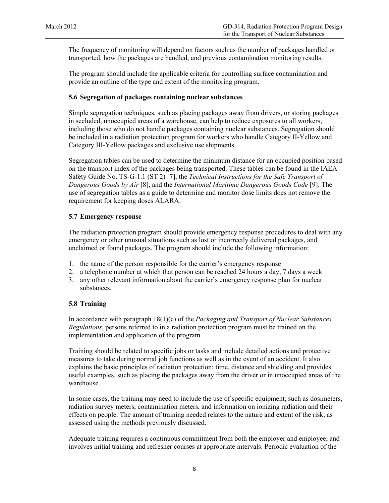The frequency of monitoring will depend on factors such as the number of packages handled or transported, how the packages are handled, and previous contamination monitoring results.

The program should include the applicable criteria for controlling surface contamination and provide an outline of the type and extent of the monitoring program.

#### **5.6 Segregation of packages containing nuclear substances**

Simple segregation techniques, such as placing packages away from drivers, or storing packages in secluded, unoccupied areas of a warehouse, can help to reduce exposures to all workers, including those who do not handle packages containing nuclear substances. Segregation should be included in a radiation protection program for workers who handle Category II-Yellow and Category III-Yellow packages and exclusive use shipments.

Segregation tables can be used to determine the minimum distance for an occupied position based on the transport index of the packages being transported. These tables can be found in the IAEA Safety Guide No. TS-G-1.1 (ST 2) [7], the *Technical Instructions for the Safe Transport of Dangerous Goods by Air* [8], and the *International Maritime Dangerous Goods Code* [9]. The use of segregation tables as a guide to determine and monitor dose limits does not remove the requirement for keeping doses ALARA.

#### **5.7 Emergency response**

The radiation protection program should provide emergency response procedures to deal with any emergency or other unusual situations such as lost or incorrectly delivered packages, and unclaimed or found packages. The program should include the following information:

- 1. the name of the person responsible for the carrier's emergency response
- 2. a telephone number at which that person can be reached 24 hours a day, 7 days a week
- 3. any other relevant information about the carrier's emergency response plan for nuclear substances.

#### **5.8 Training**

In accordance with paragraph 18(1)(c) of the *Packaging and Transport of Nuclear Substances Regulations*, persons referred to in a radiation protection program must be trained on the implementation and application of the program.

Training should be related to specific jobs or tasks and include detailed actions and protective measures to take during normal job functions as well as in the event of an accident. It also explains the basic principles of radiation protection: time, distance and shielding and provides useful examples, such as placing the packages away from the driver or in unoccupied areas of the warehouse.

In some cases, the training may need to include the use of specific equipment, such as dosimeters, radiation survey meters, contamination meters, and information on ionizing radiation and their effects on people. The amount of training needed relates to the nature and extent of the risk, as assessed using the methods previously discussed.

Adequate training requires a continuous commitment from both the employer and employee, and involves initial training and refresher courses at appropriate intervals. Periodic evaluation of the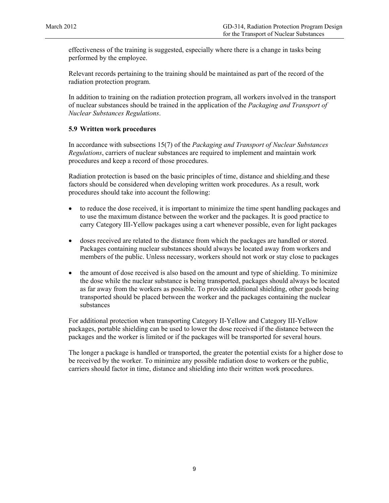effectiveness of the training is suggested, especially where there is a change in tasks being performed by the employee.

Relevant records pertaining to the training should be maintained as part of the record of the radiation protection program.

In addition to training on the radiation protection program, all workers involved in the transport of nuclear substances should be trained in the application of the *Packaging and Transport of Nuclear Substances Regulations*.

#### **5.9 Written work procedures**

In accordance with subsections 15(7) of the *Packaging and Transport of Nuclear Substances Regulations*, carriers of nuclear substances are required to implement and maintain work procedures and keep a record of those procedures.

Radiation protection is based on the basic principles of time, distance and shielding.and these factors should be considered when developing written work procedures. As a result, work procedures should take into account the following:

- to reduce the dose received, it is important to minimize the time spent handling packages and to use the maximum distance between the worker and the packages. It is good practice to carry Category III-Yellow packages using a cart whenever possible, even for light packages
- doses received are related to the distance from which the packages are handled or stored. Packages containing nuclear substances should always be located away from workers and members of the public. Unless necessary, workers should not work or stay close to packages
- the amount of dose received is also based on the amount and type of shielding. To minimize the dose while the nuclear substance is being transported, packages should always be located as far away from the workers as possible. To provide additional shielding, other goods being transported should be placed between the worker and the packages containing the nuclear substances

For additional protection when transporting Category II-Yellow and Category III-Yellow packages, portable shielding can be used to lower the dose received if the distance between the packages and the worker is limited or if the packages will be transported for several hours.

The longer a package is handled or transported, the greater the potential exists for a higher dose to be received by the worker. To minimize any possible radiation dose to workers or the public, carriers should factor in time, distance and shielding into their written work procedures.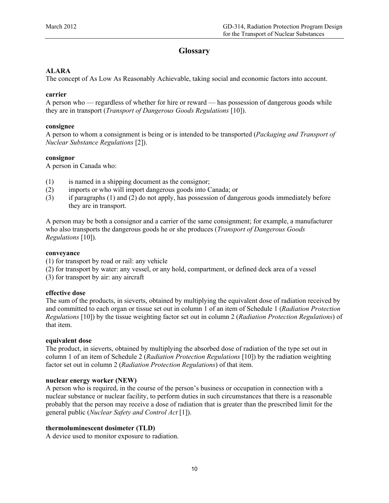## **Glossary**

#### <span id="page-13-0"></span>**ALARA**

The concept of As Low As Reasonably Achievable, taking social and economic factors into account.

#### **carrier**

A person who — regardless of whether for hire or reward — has possession of dangerous goods while they are in transport (*Transport of Dangerous Goods Regulations* [10]).

#### **consignee**

A person to whom a consignment is being or is intended to be transported (*Packaging and Transport of Nuclear Substance Regulations* [2]).

#### **consignor**

A person in Canada who:

- (1) is named in a shipping document as the consignor;
- (2) imports or who will import dangerous goods into Canada; or
- (3) if paragraphs (1) and (2) do not apply, has possession of dangerous goods immediately before they are in transport.

A person may be both a consignor and a carrier of the same consignment; for example, a manufacturer who also transports the dangerous goods he or she produces (*Transport of Dangerous Goods Regulations* [10])*.*

#### **conveyance**

- (1) for transport by road or rail: any vehicle
- (2) for transport by water: any vessel, or any hold, compartment, or defined deck area of a vessel
- (3) for transport by air: any aircraft

#### **effective dose**

The sum of the products, in sieverts, obtained by multiplying the equivalent dose of radiation received by and committed to each organ or tissue set out in column 1 of an item of Schedule 1 (*Radiation Protection Regulations* [10]) by the tissue weighting factor set out in column 2 (*Radiation Protection Regulations*) of that item.

#### **equivalent dose**

The product, in sieverts, obtained by multiplying the absorbed dose of radiation of the type set out in column 1 of an item of Schedule 2 (*Radiation Protection Regulations* [10]) by the radiation weighting factor set out in column 2 (*Radiation Protection Regulations*) of that item.

#### **nuclear energy worker (NEW)**

A person who is required, in the course of the person's business or occupation in connection with a nuclear substance or nuclear facility, to perform duties in such circumstances that there is a reasonable probably that the person may receive a dose of radiation that is greater than the prescribed limit for the general public (*Nuclear Safety and Control Act* [1]).

#### **thermoluminescent dosimeter (TLD)**

A device used to monitor exposure to radiation.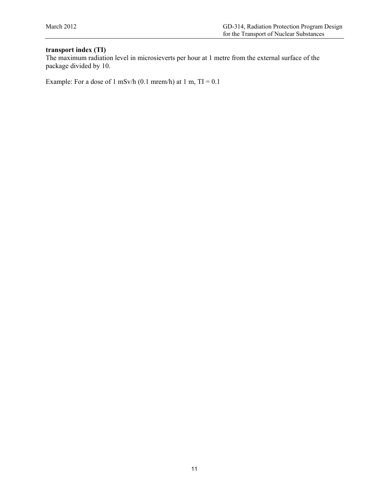## **transport index (TI)**

The maximum radiation level in microsieverts per hour at 1 metre from the external surface of the package divided by 10.

Example: For a dose of 1 mSv/h (0.1 mrem/h) at 1 m,  $TI = 0.1$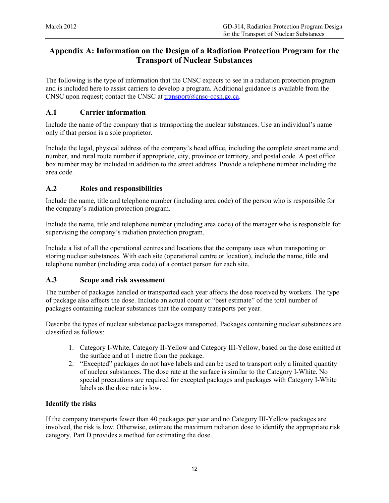## <span id="page-15-0"></span>**Appendix A: Information on the Design of a Radiation Protection Program for the Transport of Nuclear Substances**

The following is the type of information that the CNSC expects to see in a radiation protection program and is included here to assist carriers to develop a program. Additional guidance is available from the CNSC upon request; contact the CNSC at  $\frac{t_{r}}{t_{r}}$  transport $\omega$ cnsc-ccsn.gc.ca.

## **A.1 Carrier information**

Include the name of the company that is transporting the nuclear substances. Use an individual's name only if that person is a sole proprietor.

Include the legal, physical address of the company's head office, including the complete street name and number, and rural route number if appropriate, city, province or territory, and postal code. A post office box number may be included in addition to the street address. Provide a telephone number including the area code.

## **A.2 Roles and responsibilities**

Include the name, title and telephone number (including area code) of the person who is responsible for the company's radiation protection program.

Include the name, title and telephone number (including area code) of the manager who is responsible for supervising the company's radiation protection program.

Include a list of all the operational centres and locations that the company uses when transporting or storing nuclear substances. With each site (operational centre or location), include the name, title and telephone number (including area code) of a contact person for each site.

## **A.3 Scope and risk assessment**

The number of packages handled or transported each year affects the dose received by workers. The type of package also affects the dose. Include an actual count or "best estimate" of the total number of packages containing nuclear substances that the company transports per year.

Describe the types of nuclear substance packages transported. Packages containing nuclear substances are classified as follows:

- 1. Category I-White, Category II-Yellow and Category III-Yellow, based on the dose emitted at the surface and at 1 metre from the package.
- 2. "Excepted" packages do not have labels and can be used to transport only a limited quantity of nuclear substances. The dose rate at the surface is similar to the Category I-White. No special precautions are required for excepted packages and packages with Category I-White labels as the dose rate is low.

#### **Identify the risks**

If the company transports fewer than 40 packages per year and no Category III-Yellow packages are involved, the risk is low. Otherwise, estimate the maximum radiation dose to identify the appropriate risk category. Part D provides a method for estimating the dose.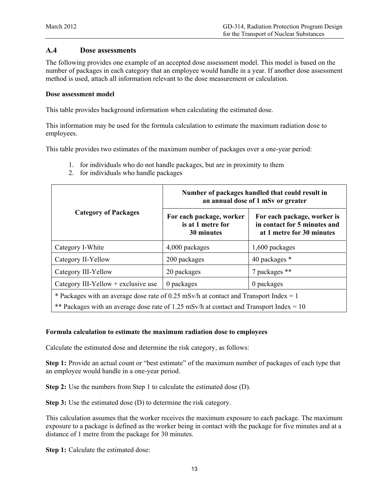#### **A.4 Dose assessments**

The following provides one example of an accepted dose assessment model. This model is based on the number of packages in each category that an employee would handle in a year. If another dose assessment method is used, attach all information relevant to the dose measurement or calculation.

#### **Dose assessment model**

This table provides background information when calculating the estimated dose.

This information may be used for the formula calculation to estimate the maximum radiation dose to employees.

This table provides two estimates of the maximum number of packages over a one-year period:

- 1. for individuals who do not handle packages, but are in proximity to them
- 2. for individuals who handle packages

|                                                                                                                                                                                  | Number of packages handled that could result in<br>an annual dose of 1 mSv or greater |                                                                                          |  |  |  |
|----------------------------------------------------------------------------------------------------------------------------------------------------------------------------------|---------------------------------------------------------------------------------------|------------------------------------------------------------------------------------------|--|--|--|
| <b>Category of Packages</b>                                                                                                                                                      | For each package, worker<br>is at 1 metre for<br>30 minutes                           | For each package, worker is<br>in contact for 5 minutes and<br>at 1 metre for 30 minutes |  |  |  |
| Category I-White                                                                                                                                                                 | 4,000 packages                                                                        | 1,600 packages                                                                           |  |  |  |
| Category II-Yellow                                                                                                                                                               | 200 packages                                                                          | 40 packages *                                                                            |  |  |  |
| Category III-Yellow                                                                                                                                                              | 20 packages                                                                           | 7 packages **                                                                            |  |  |  |
| Category III-Yellow $+$ exclusive use                                                                                                                                            | 0 packages                                                                            | 0 packages                                                                               |  |  |  |
| * Packages with an average dose rate of 0.25 mSv/h at contact and Transport Index = 1<br>** Packages with an average dose rate of 1.25 mSv/h at contact and Transport Index = 10 |                                                                                       |                                                                                          |  |  |  |

#### **Formula calculation to estimate the maximum radiation dose to employees**

Calculate the estimated dose and determine the risk category, as follows:

**Step 1:** Provide an actual count or "best estimate" of the maximum number of packages of each type that an employee would handle in a one-year period.

**Step 2:** Use the numbers from Step 1 to calculate the estimated dose (D).

**Step 3:** Use the estimated dose (D) to determine the risk category.

This calculation assumes that the worker receives the maximum exposure to each package. The maximum exposure to a package is defined as the worker being in contact with the package for five minutes and at a distance of 1 metre from the package for 30 minutes.

**Step 1:** Calculate the estimated dose: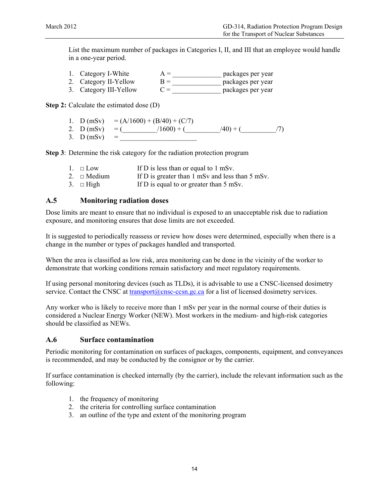List the maximum number of packages in Categories I, II, and III that an employee would handle in a one-year period.

| 1. Category I-White   | $A =$ | packages per year |
|-----------------------|-------|-------------------|
| 2. Category II-Yellow | $R =$ | packages per year |

3. Category III-Yellow  $C =$  packages per year

**Step 2:** Calculate the estimated dose (D)

1. D (mSv) =  $(A/1600) + (B/40) + (C/7)$ 2. D (mSv) = (\_\_\_\_\_\_\_\_/1600) + (\_\_\_\_\_\_\_/40) + (\_\_\_\_\_\_\_/7)<br>3. D (mSv) = 3.  $D (mSv)$ 

**Step 3**: Determine the risk category for the radiation protection program

- 1.  $\square$  Low If D is less than or equal to 1 mSv.
- 2.  $\Box$  Medium If D is greater than 1 mSv and less than 5 mSv.
- 3.  $\Box$  High If D is equal to or greater than 5 mSv.

#### **A.5 Monitoring radiation doses**

Dose limits are meant to ensure that no individual is exposed to an unacceptable risk due to radiation exposure, and monitoring ensures that dose limits are not exceeded.

It is suggested to periodically reassess or review how doses were determined, especially when there is a change in the number or types of packages handled and transported.

When the area is classified as low risk, area monitoring can be done in the vicinity of the worker to demonstrate that working conditions remain satisfactory and meet regulatory requirements.

If using personal monitoring devices (such as TLDs), it is advisable to use a CNSC-licensed dosimetry service. Contact the CNSC at [transport@cnsc-ccsn.gc.ca](mailto:transport@cnsc-ccsn.gc.ca) for a list of licensed dosimetry services.

Any worker who is likely to receive more than 1 mSv per year in the normal course of their duties is considered a Nuclear Energy Worker (NEW). Most workers in the medium- and high-risk categories should be classified as NEWs.

#### **A.6 Surface contamination**

Periodic monitoring for contamination on surfaces of packages, components, equipment, and conveyances is recommended, and may be conducted by the consignor or by the carrier.

If surface contamination is checked internally (by the carrier), include the relevant information such as the following:

- 1. the frequency of monitoring
- 2. the criteria for controlling surface contamination
- 3. an outline of the type and extent of the monitoring program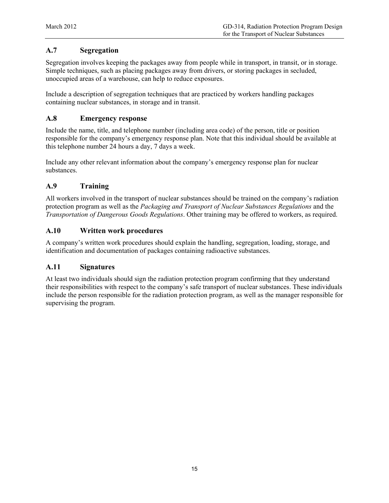## **A.7 Segregation**

Segregation involves keeping the packages away from people while in transport, in transit, or in storage. Simple techniques, such as placing packages away from drivers, or storing packages in secluded, unoccupied areas of a warehouse, can help to reduce exposures.

Include a description of segregation techniques that are practiced by workers handling packages containing nuclear substances, in storage and in transit.

## **A.8 Emergency response**

Include the name, title, and telephone number (including area code) of the person, title or position responsible for the company's emergency response plan. Note that this individual should be available at this telephone number 24 hours a day, 7 days a week.

Include any other relevant information about the company's emergency response plan for nuclear substances.

## **A.9 Training**

All workers involved in the transport of nuclear substances should be trained on the company's radiation protection program as well as the *Packaging and Transport of Nuclear Substances Regulations* and the *Transportation of Dangerous Goods Regulations*. Other training may be offered to workers, as required.

## **A.10 Written work procedures**

A company's written work procedures should explain the handling, segregation, loading, storage, and identification and documentation of packages containing radioactive substances.

## **A.11 Signatures**

At least two individuals should sign the radiation protection program confirming that they understand their responsibilities with respect to the company's safe transport of nuclear substances. These individuals include the person responsible for the radiation protection program, as well as the manager responsible for supervising the program.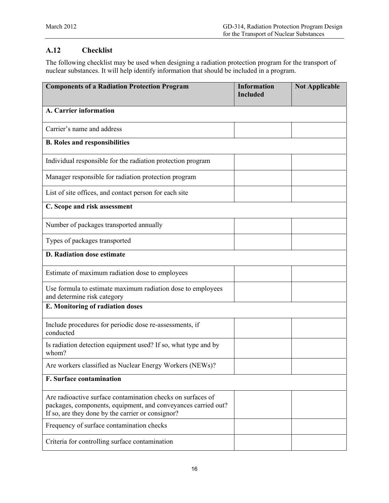## **A.12 Checklist**

The following checklist may be used when designing a radiation protection program for the transport of nuclear substances. It will help identify information that should be included in a program.

| <b>Components of a Radiation Protection Program</b>                                                                                                                               | <b>Information</b><br><b>Included</b> | <b>Not Applicable</b> |
|-----------------------------------------------------------------------------------------------------------------------------------------------------------------------------------|---------------------------------------|-----------------------|
| A. Carrier information                                                                                                                                                            |                                       |                       |
| Carrier's name and address                                                                                                                                                        |                                       |                       |
| <b>B.</b> Roles and responsibilities                                                                                                                                              |                                       |                       |
| Individual responsible for the radiation protection program                                                                                                                       |                                       |                       |
| Manager responsible for radiation protection program                                                                                                                              |                                       |                       |
| List of site offices, and contact person for each site                                                                                                                            |                                       |                       |
| C. Scope and risk assessment                                                                                                                                                      |                                       |                       |
| Number of packages transported annually                                                                                                                                           |                                       |                       |
| Types of packages transported                                                                                                                                                     |                                       |                       |
| <b>D. Radiation dose estimate</b>                                                                                                                                                 |                                       |                       |
| Estimate of maximum radiation dose to employees                                                                                                                                   |                                       |                       |
| Use formula to estimate maximum radiation dose to employees<br>and determine risk category                                                                                        |                                       |                       |
| E. Monitoring of radiation doses                                                                                                                                                  |                                       |                       |
| Include procedures for periodic dose re-assessments, if<br>conducted                                                                                                              |                                       |                       |
| Is radiation detection equipment used? If so, what type and by<br>whom?                                                                                                           |                                       |                       |
| Are workers classified as Nuclear Energy Workers (NEWs)?                                                                                                                          |                                       |                       |
| <b>F. Surface contamination</b>                                                                                                                                                   |                                       |                       |
| Are radioactive surface contamination checks on surfaces of<br>packages, components, equipment, and conveyances carried out?<br>If so, are they done by the carrier or consignor? |                                       |                       |
| Frequency of surface contamination checks                                                                                                                                         |                                       |                       |
| Criteria for controlling surface contamination                                                                                                                                    |                                       |                       |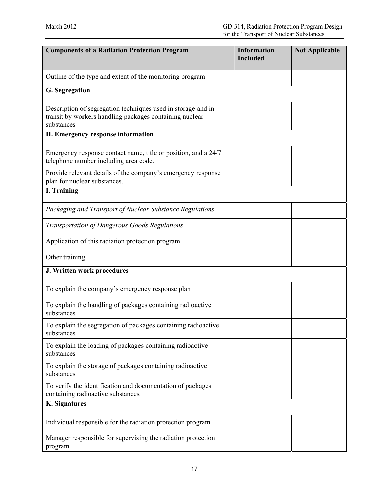| <b>Components of a Radiation Protection Program</b>                                                                                   | <b>Information</b><br><b>Included</b> | <b>Not Applicable</b> |  |
|---------------------------------------------------------------------------------------------------------------------------------------|---------------------------------------|-----------------------|--|
| Outline of the type and extent of the monitoring program                                                                              |                                       |                       |  |
| G. Segregation                                                                                                                        |                                       |                       |  |
| Description of segregation techniques used in storage and in<br>transit by workers handling packages containing nuclear<br>substances |                                       |                       |  |
| H. Emergency response information                                                                                                     |                                       |                       |  |
| Emergency response contact name, title or position, and a 24/7<br>telephone number including area code.                               |                                       |                       |  |
| Provide relevant details of the company's emergency response<br>plan for nuclear substances.                                          |                                       |                       |  |
| <b>I. Training</b>                                                                                                                    |                                       |                       |  |
| Packaging and Transport of Nuclear Substance Regulations                                                                              |                                       |                       |  |
| Transportation of Dangerous Goods Regulations                                                                                         |                                       |                       |  |
| Application of this radiation protection program                                                                                      |                                       |                       |  |
| Other training                                                                                                                        |                                       |                       |  |
| J. Written work procedures                                                                                                            |                                       |                       |  |
| To explain the company's emergency response plan                                                                                      |                                       |                       |  |
| To explain the handling of packages containing radioactive<br>substances                                                              |                                       |                       |  |
| To explain the segregation of packages containing radioactive<br>substances                                                           |                                       |                       |  |
| To explain the loading of packages containing radioactive<br>substances                                                               |                                       |                       |  |
| To explain the storage of packages containing radioactive<br>substances                                                               |                                       |                       |  |
| To verify the identification and documentation of packages<br>containing radioactive substances                                       |                                       |                       |  |
| <b>K.</b> Signatures                                                                                                                  |                                       |                       |  |
| Individual responsible for the radiation protection program                                                                           |                                       |                       |  |
| Manager responsible for supervising the radiation protection<br>program                                                               |                                       |                       |  |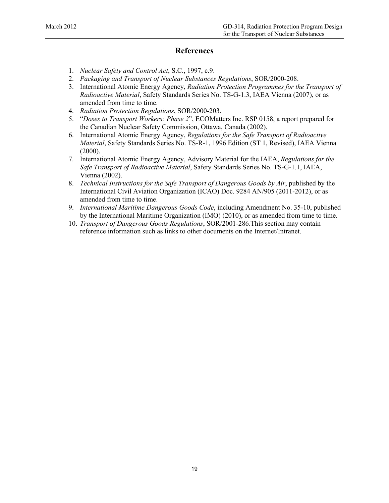## **References**

- <span id="page-21-0"></span>1. *Nuclear Safety and Control Act*, S.C., 1997, c.9.
- 2. *Packaging and Transport of Nuclear Substances Regulations*, SOR/2000-208.
- 3. International Atomic Energy Agency, *Radiation Protection Programmes for the Transport of Radioactive Material*, Safety Standards Series No. TS-G-1.3, IAEA Vienna (2007), or as amended from time to time.
- 4. *Radiation Protection Regulations*, SOR/2000-203.
- 5. "*Doses to Transport Workers: Phase 2*", ECOMatters Inc. RSP 0158, a report prepared for the Canadian Nuclear Safety Commission, Ottawa, Canada (2002).
- 6. International Atomic Energy Agency, *Regulations for the Safe Transport of Radioactive Material*, Safety Standards Series No. TS-R-1, 1996 Edition (ST 1, Revised), IAEA Vienna (2000).
- 7. International Atomic Energy Agency, Advisory Material for the IAEA, *Regulations for the Safe Transport of Radioactive Material*, Safety Standards Series No. TS-G-1.1, IAEA, Vienna (2002).
- 8. *Technical Instructions for the Safe Transport of Dangerous Goods by Air*, published by the International Civil Aviation Organization (ICAO) Doc. 9284 AN/905 (2011-2012), or as amended from time to time.
- 9. *International Maritime Dangerous Goods Code*, including Amendment No. 35-10, published by the International Maritime Organization (IMO) (2010), or as amended from time to time.
- 10. *Transport of Dangerous Goods Regulations*, SOR/2001-286.This section may contain reference information such as links to other documents on the Internet/Intranet.